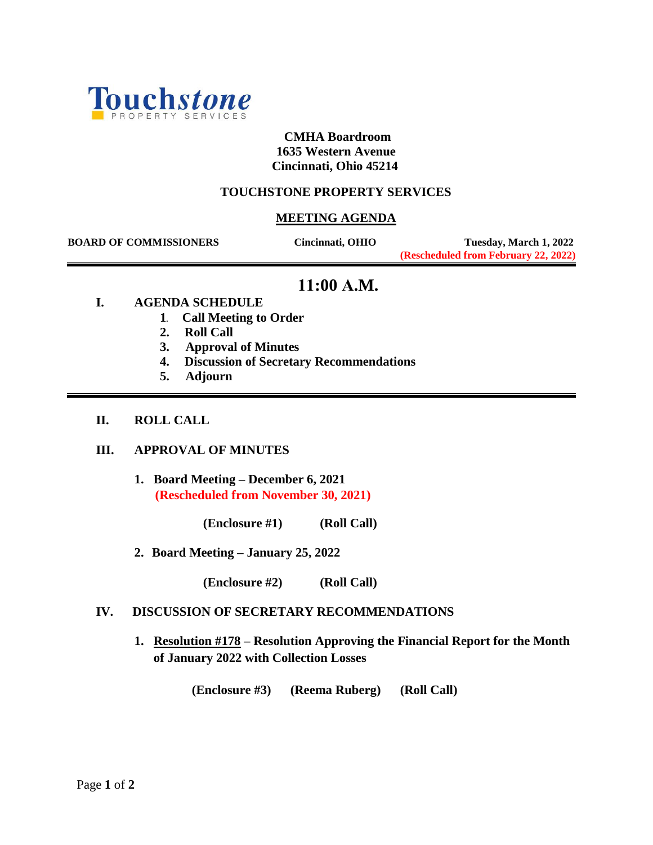

## **CMHA Boardroom 1635 Western Avenue Cincinnati, Ohio 45214**

## **TOUCHSTONE PROPERTY SERVICES**

## **MEETING AGENDA**

 **BOARD OF COMMISSIONERS Cincinnati, OHIO Tuesday, March 1, 2022 (Rescheduled from February 22, 2022)**

# **11:00 A.M.**

- **I. AGENDA SCHEDULE**
	- **1. Call Meeting to Order**
	- **2. Roll Call**
	- **3. Approval of Minutes**
	- **4. Discussion of Secretary Recommendations**
	- **5. Adjourn**
- **II. ROLL CALL**

### **III. APPROVAL OF MINUTES**

**1. Board Meeting – December 6, 2021 (Rescheduled from November 30, 2021)**

 **(Enclosure #1) (Roll Call)**

**2. Board Meeting – January 25, 2022**

 **(Enclosure #2) (Roll Call)**

## **IV. DISCUSSION OF SECRETARY RECOMMENDATIONS**

**1. Resolution #178 – Resolution Approving the Financial Report for the Month of January 2022 with Collection Losses**

**(Enclosure #3) (Reema Ruberg) (Roll Call)**